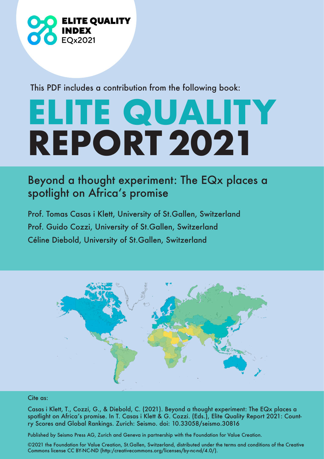

This PDF includes a contribution from the following book:

## **ELITE QUALITY REPORT 2021**

## Beyond a thought experiment: The EQx places a spotlight on Africa's promise

Prof. Tomas Casas i Klett, University of St.Gallen, Switzerland Prof. Guido Cozzi, University of St.Gallen, Switzerland Céline Diebold, University of St.Gallen, Switzerland



## Cite as:

Casas i Klett, T., Cozzi, G., & Diebold, C. (2021). Beyond a thought experiment: The EQx places a spotlight on Africa's promise. In T. Casas i Klett & G. Cozzi. (Eds.), Elite Quality Report 2021: Country Scores and Global Rankings. Zurich: Seismo. doi: 10.33058/seismo.30816

Published by Seismo Press AG, Zurich and Geneva in partnership with the Foundation for Value Creation.

©2021 the Foundation for Value Creation, St.Gallen, Switzerland, distributed under the terms and conditions of the Creative Commons license CC BY-NC-ND (http:/creativecommons.org/licenses/by-nc-nd/4.0/).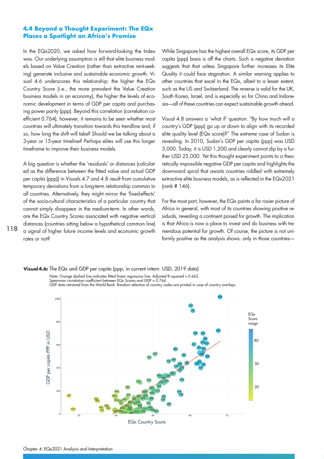## **4.4 Beyond a Thought Experiment: The EQx Places a Spotlight on Africa's Promise**

In the EQx2020, we asked how forward-looking the Index was. Our underlying assumption is still that elite business models based on Value Creation (rather than extractive rent-seeking) generate inclusive and sustainable economic growth. Visual 4.6 underscores this relationship: the higher the EQx Country Score (i.e., the more prevalent the Value Creation business models in an economy), the higher the levels of economic development in terms of GDP per capita and purchasing power parity (ppp). Beyond this correlation (correlation coefficient 0.764), however, it remains to be seen whether most countries will ultimately transition towards this trendline and, if so, how long the shift will take? Should we be talking about a 3-year or 15-year timeline? Perhaps elites will use this longer timeframe to improve their business models.

A big question is whether the 'residuals' or distances (calculated as the difference between the fitted value and actual GDP per capita (ppp)) in Visuals 4.7 and 4.8 result from cumulative temporary deviations from a long-term relationship common to all countries. Alternatively, they might mirror the 'fixed-effects' of the socio-cultural characteristics of a particular country that cannot simply disappear in the medium-term. In other words, are the EQx Country Scores associated with negative vertical distances (countries sitting below a hypothetical common line) a signal of higher future income levels and economic growth rates or not?

While Singapore has the highest overall EQx score, its GDP per capita (ppp) basis is off the charts. Such a negative deviation suggests that that unless Singapore further increases its Elite Quality it could face stagnation. A similar warning applies to other countries that excel in the EQx, albeit to a lesser extent, such as the US and Switzerland. The reverse is valid for the UK, South Korea, Israel, and is especially so for China and Indonesia—all of these countries can expect sustainable growth ahead.

Visual 4.8 answers a 'what if' question: "By how much will a country's GDP (ppp) go up or down to align with its recorded elite quality level (EQx score)?" The extreme case of Sudan is revealing. In 2010, Sudan's GDP per capita (ppp) was USD 3,000. Today, it is USD 1,200 and clearly cannot dip by a further USD 25,000. Yet this thought experiment points to a theoretically impossible negative GDP per capita and highlights the downward spiral that awaits countries riddled with extremely extractive elite business models, as is reflected in the EQx2021 (rank # 146).

For the most part, however, the EQx paints a far rosier picture of Africa in general, with most of its countries showing positive residuals, revealing a continent poised for growth. The implication is that Africa is now a place to invest and do business with tremendous potential for growth. Of course, the picture is not uniformly positive as the analysis shows: only in those countries—



EQx Country Score